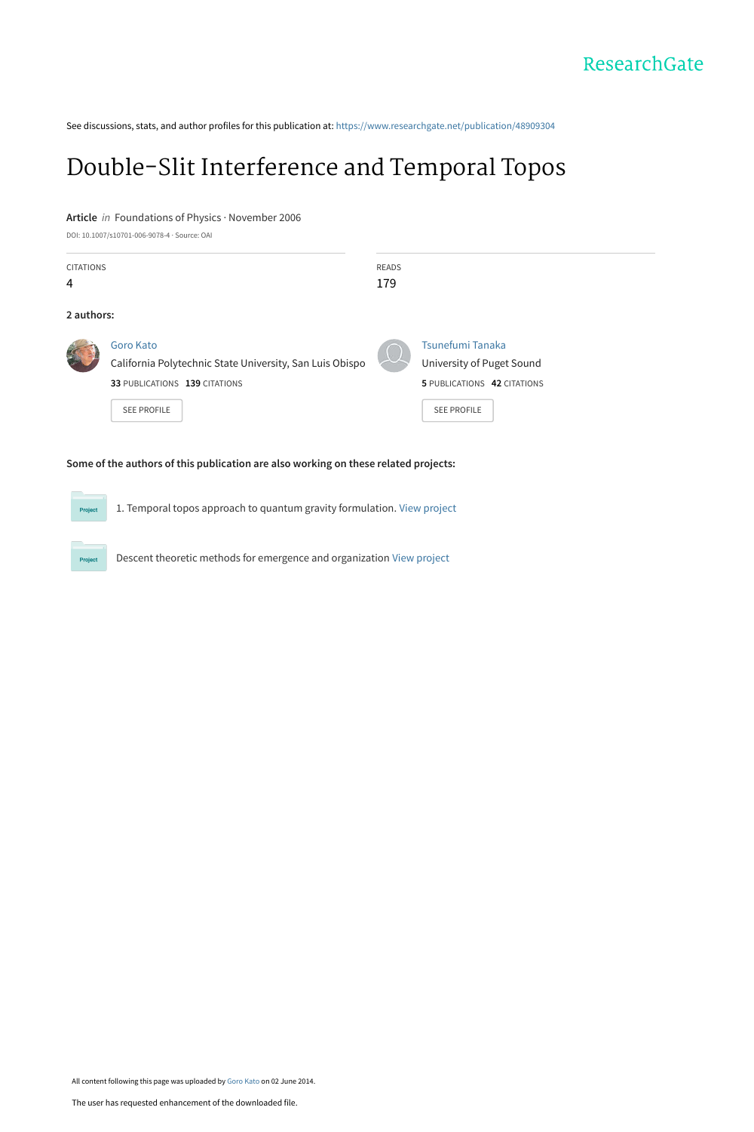See discussions, stats, and author profiles for this publication at: [https://www.researchgate.net/publication/48909304](https://www.researchgate.net/publication/48909304_Double-Slit_Interference_and_Temporal_Topos?enrichId=rgreq-e63853f6b933607cd951a064bb8dbf8b-XXX&enrichSource=Y292ZXJQYWdlOzQ4OTA5MzA0O0FTOjEwMzY3MDU2MTY0MDQ2N0AxNDAxNzI4Mzk2OTMy&el=1_x_2&_esc=publicationCoverPdf)

# [Double-Slit Interference and Temporal Topos](https://www.researchgate.net/publication/48909304_Double-Slit_Interference_and_Temporal_Topos?enrichId=rgreq-e63853f6b933607cd951a064bb8dbf8b-XXX&enrichSource=Y292ZXJQYWdlOzQ4OTA5MzA0O0FTOjEwMzY3MDU2MTY0MDQ2N0AxNDAxNzI4Mzk2OTMy&el=1_x_3&_esc=publicationCoverPdf)

#### **Article** in Foundations of Physics · November 2006

DOI: 10.1007/s10701-006-9078-4 · Source: OAI

Project

| <b>CITATIONS</b> |                                                                       | READS |                                               |
|------------------|-----------------------------------------------------------------------|-------|-----------------------------------------------|
| 4                |                                                                       | 179   |                                               |
| 2 authors:       |                                                                       |       |                                               |
|                  | Goro Kato<br>California Polytechnic State University, San Luis Obispo |       | Tsunefumi Tanaka<br>University of Puget Sound |
|                  | 33 PUBLICATIONS 139 CITATIONS                                         |       | 5 PUBLICATIONS 42 CITATIONS                   |
|                  | <b>SEE PROFILE</b>                                                    |       | <b>SEE PROFILE</b>                            |
|                  |                                                                       |       |                                               |

#### **Some of the authors of this publication are also working on these related projects:**

1. Temporal topos approach to quantum gravity formulation. [View project](https://www.researchgate.net/project/1-Temporal-topos-approach-to-quantum-gravity-formulation?enrichId=rgreq-e63853f6b933607cd951a064bb8dbf8b-XXX&enrichSource=Y292ZXJQYWdlOzQ4OTA5MzA0O0FTOjEwMzY3MDU2MTY0MDQ2N0AxNDAxNzI4Mzk2OTMy&el=1_x_9&_esc=publicationCoverPdf)

Descent theoretic methods for emergence and organization [View project](https://www.researchgate.net/project/Descent-theoretic-methods-for-emergence-and-organization?enrichId=rgreq-e63853f6b933607cd951a064bb8dbf8b-XXX&enrichSource=Y292ZXJQYWdlOzQ4OTA5MzA0O0FTOjEwMzY3MDU2MTY0MDQ2N0AxNDAxNzI4Mzk2OTMy&el=1_x_9&_esc=publicationCoverPdf)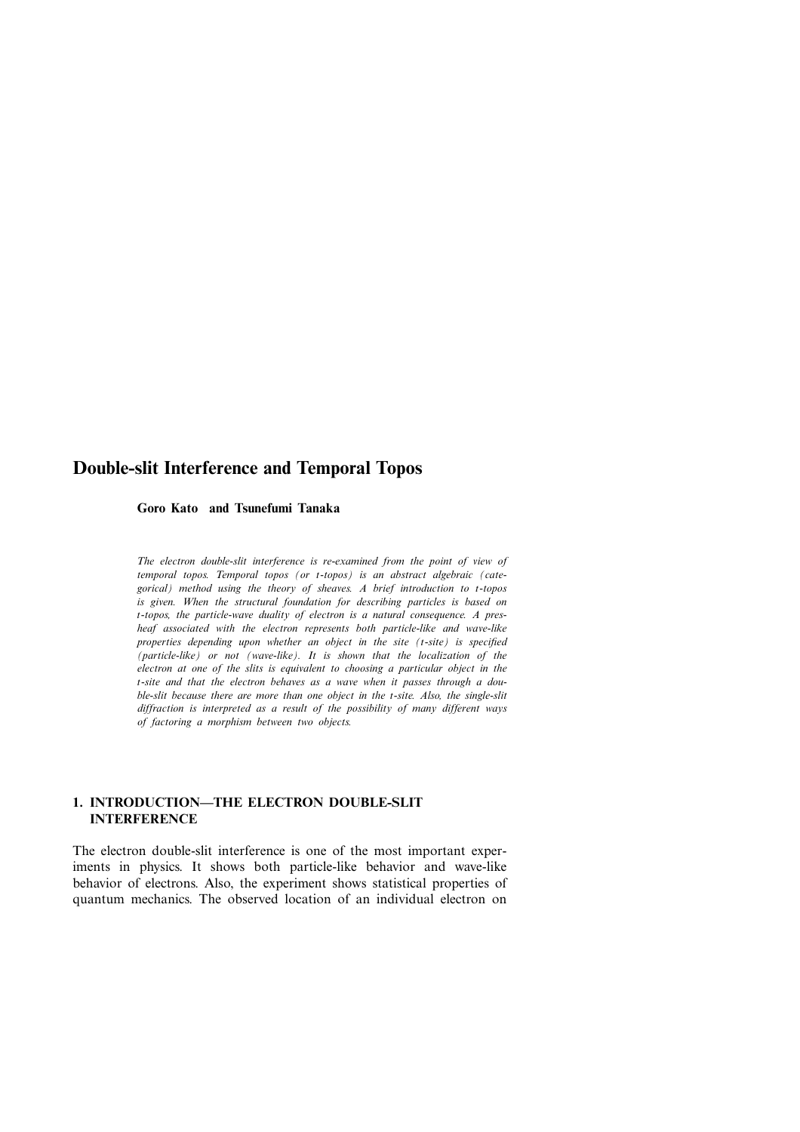# **Double-slit Interference and Temporal Topos**

**Goro Kato and Tsunefumi Tanaka**

*The electron double-slit interference is re-examined from the point of view of temporal topos. Temporal topos (or* t*-topos) is an abstract algebraic (categorical) method using the theory of sheaves. <sup>A</sup> brief introduction to* t*-topos is given. When the structural foundation for describing particles is based on* t*-topos, the particle-wave duality of electron is <sup>a</sup> natural consequence. <sup>A</sup> presheaf associated with the electron represents both particle-like and wave-like properties depending upon whether an object in the site (*t*-site) is specified (particle-like) or not (wave-like). It is shown that the localization of the electron at one of the slits is equivalent to choosing a particular object in the* t*-site and that the electron behaves as <sup>a</sup> wave when it passes through <sup>a</sup> double-slit because there are more than one object in the* t*-site. Also, the single-slit diffraction is interpreted as a result of the possibility of many different ways of factoring a morphism between two objects.*

#### **1. INTRODUCTION—THE ELECTRON DOUBLE-SLIT INTERFERENCE**

The electron double-slit interference is one of the most important experiments in physics. It shows both particle-like behavior and wave-like behavior of electrons. Also, the experiment shows statistical properties of quantum mechanics. The observed location of an individual electron on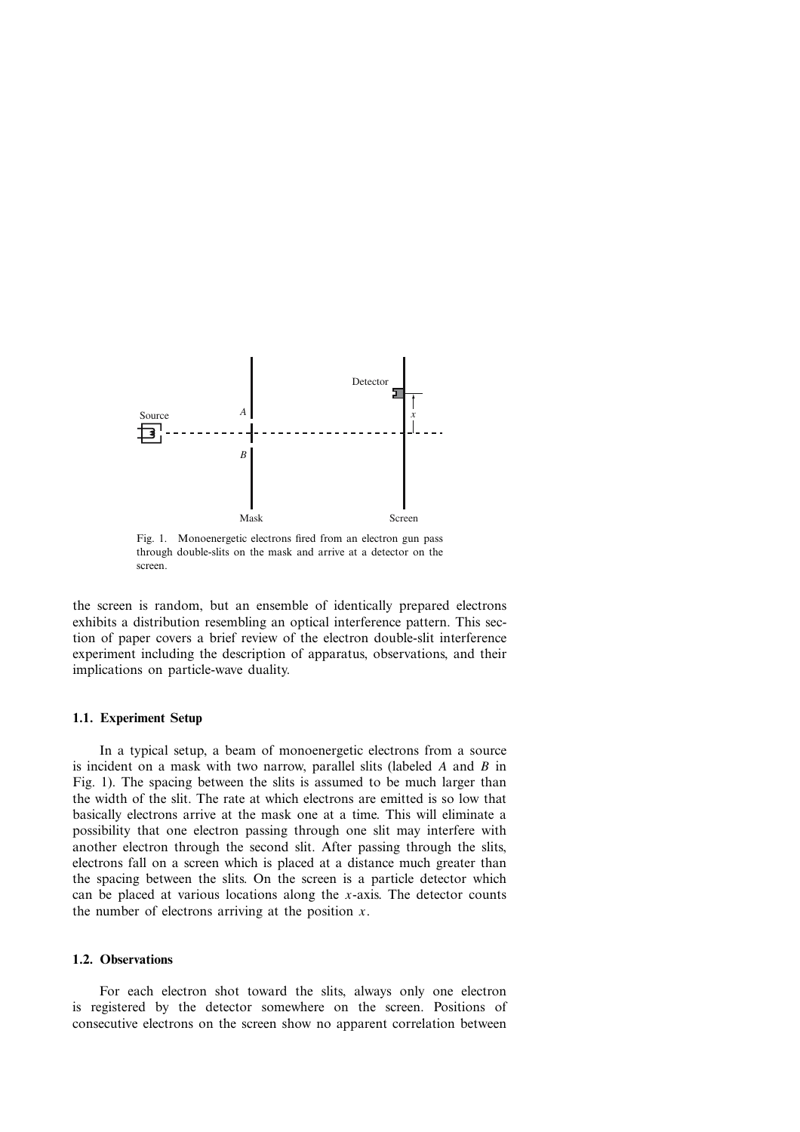

Fig. 1. Monoenergetic electrons fired from an electron gun pass through double-slits on the mask and arrive at a detector on the screen.

the screen is random, but an ensemble of identically prepared electrons exhibits a distribution resembling an optical interference pattern. This section of paper covers a brief review of the electron double-slit interference experiment including the description of apparatus, observations, and their implications on particle-wave duality.

#### **1.1. Experiment Setup**

In a typical setup, a beam of monoenergetic electrons from a source is incident on a mask with two narrow, parallel slits (labeled  $A$  and  $B$  in Fig. 1). The spacing between the slits is assumed to be much larger than the width of the slit. The rate at which electrons are emitted is so low that basically electrons arrive at the mask one at a time. This will eliminate a possibility that one electron passing through one slit may interfere with another electron through the second slit. After passing through the slits, electrons fall on a screen which is placed at a distance much greater than the spacing between the slits. On the screen is a particle detector which can be placed at various locations along the  $x$ -axis. The detector counts the number of electrons arriving at the position  $x$ .

### **1.2. Observations**

For each electron shot toward the slits, always only one electron is registered by the detector somewhere on the screen. Positions of consecutive electrons on the screen show no apparent correlation between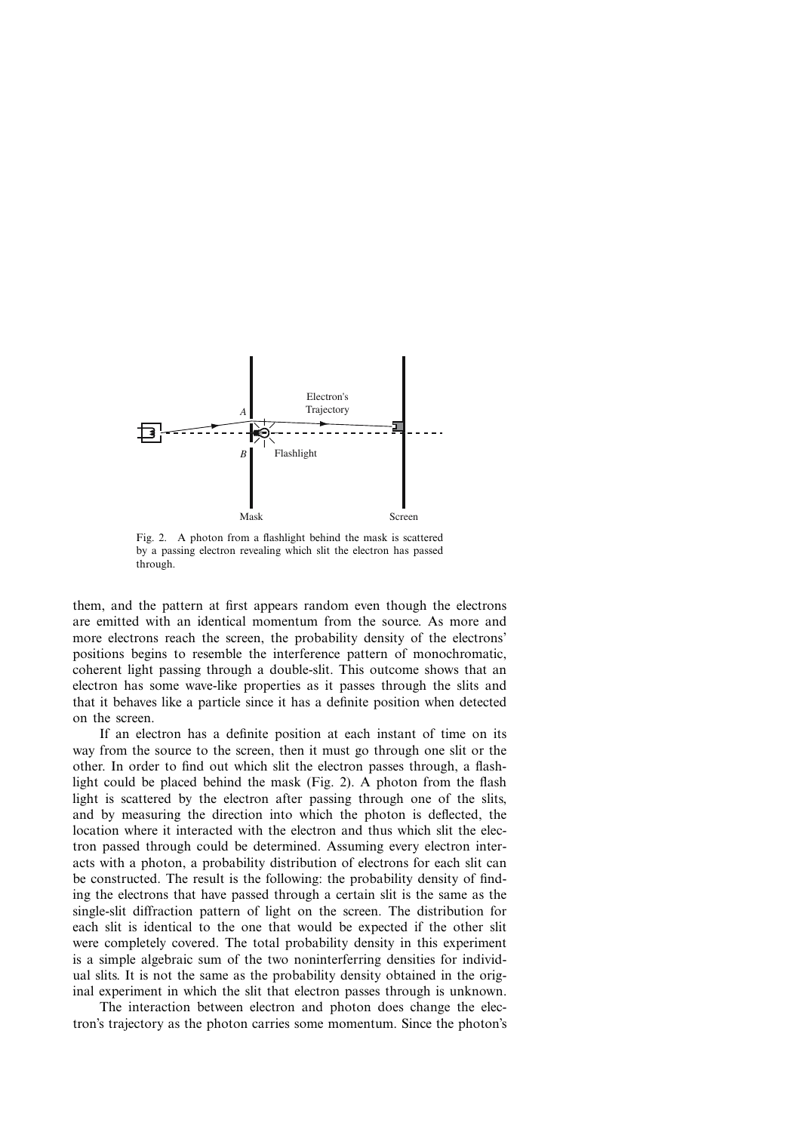

Fig. 2. A photon from a flashlight behind the mask is scattered by a passing electron revealing which slit the electron has passed through.

them, and the pattern at first appears random even though the electrons are emitted with an identical momentum from the source. As more and more electrons reach the screen, the probability density of the electrons' positions begins to resemble the interference pattern of monochromatic, coherent light passing through a double-slit. This outcome shows that an electron has some wave-like properties as it passes through the slits and that it behaves like a particle since it has a definite position when detected on the screen.

If an electron has a definite position at each instant of time on its way from the source to the screen, then it must go through one slit or the other. In order to find out which slit the electron passes through, a flashlight could be placed behind the mask (Fig. 2). A photon from the flash light is scattered by the electron after passing through one of the slits, and by measuring the direction into which the photon is deflected, the location where it interacted with the electron and thus which slit the electron passed through could be determined. Assuming every electron interacts with a photon, a probability distribution of electrons for each slit can be constructed. The result is the following: the probability density of finding the electrons that have passed through a certain slit is the same as the single-slit diffraction pattern of light on the screen. The distribution for each slit is identical to the one that would be expected if the other slit were completely covered. The total probability density in this experiment is a simple algebraic sum of the two noninterferring densities for individual slits. It is not the same as the probability density obtained in the original experiment in which the slit that electron passes through is unknown.

The interaction between electron and photon does change the electron's trajectory as the photon carries some momentum. Since the photon's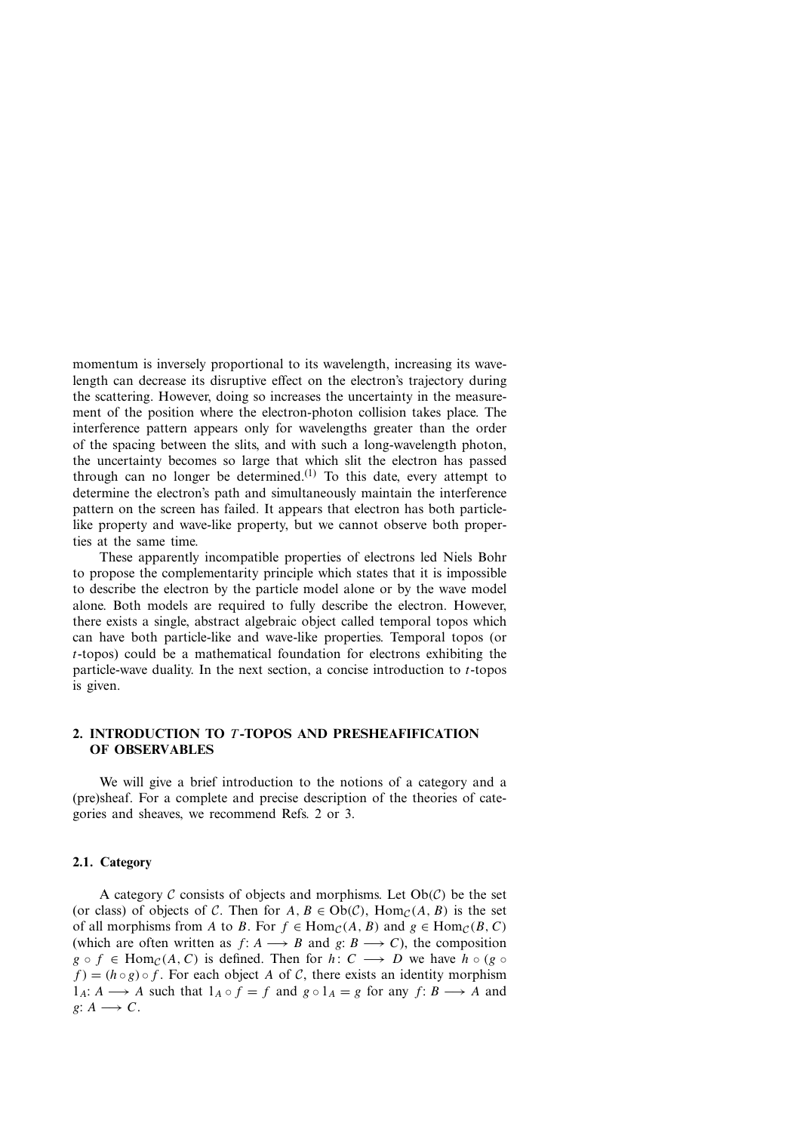momentum is inversely proportional to its wavelength, increasing its wavelength can decrease its disruptive effect on the electron's trajectory during the scattering. However, doing so increases the uncertainty in the measurement of the position where the electron-photon collision takes place. The interference pattern appears only for wavelengths greater than the order of the spacing between the slits, and with such a long-wavelength photon, the uncertainty becomes so large that which slit the electron has passed through can no longer be determined.<sup>(1)</sup> To this date, every attempt to determine the electron's path and simultaneously maintain the interference pattern on the screen has failed. It appears that electron has both particlelike property and wave-like property, but we cannot observe both properties at the same time.

These apparently incompatible properties of electrons led Niels Bohr to propose the complementarity principle which states that it is impossible to describe the electron by the particle model alone or by the wave model alone. Both models are required to fully describe the electron. However, there exists a single, abstract algebraic object called temporal topos which can have both particle-like and wave-like properties. Temporal topos (or t-topos) could be <sup>a</sup> mathematical foundation for electrons exhibiting the particle-wave duality. In the next section, a concise introduction to  $t$ -topos is given.

## **2. INTRODUCTION TO** T **-TOPOS AND PRESHEAFIFICATION OF OBSERVABLES**

We will give a brief introduction to the notions of a category and a (pre)sheaf. For a complete and precise description of the theories of categories and sheaves, we recommend Refs. 2 or 3.

#### **2.1. Category**

A category  $\mathcal C$  consists of objects and morphisms. Let  $Ob(\mathcal C)$  be the set (or class) of objects of C. Then for  $A, B \in Ob(C)$ ,  $Hom_C(A, B)$  is the set of all morphisms from A to B. For  $f \in \text{Hom}_{\mathcal{C}}(A, B)$  and  $g \in \text{Hom}_{\mathcal{C}}(B, C)$ (which are often written as  $f: A \longrightarrow B$  and  $g: B \longrightarrow C$ ), the composition  $g \circ f \in \text{Hom}_{\mathcal{C}}(A, C)$  is defined. Then for  $h: C \longrightarrow D$  we have  $h \circ (g \circ f)$  $f$  =  $(h \circ g) \circ f$ . For each object A of C, there exists an identity morphism  $1_A: A \longrightarrow A$  such that  $1_A \circ f = f$  and  $g \circ 1_A = g$  for any  $f: B \longrightarrow A$  and g:  $A \rightarrow C$ .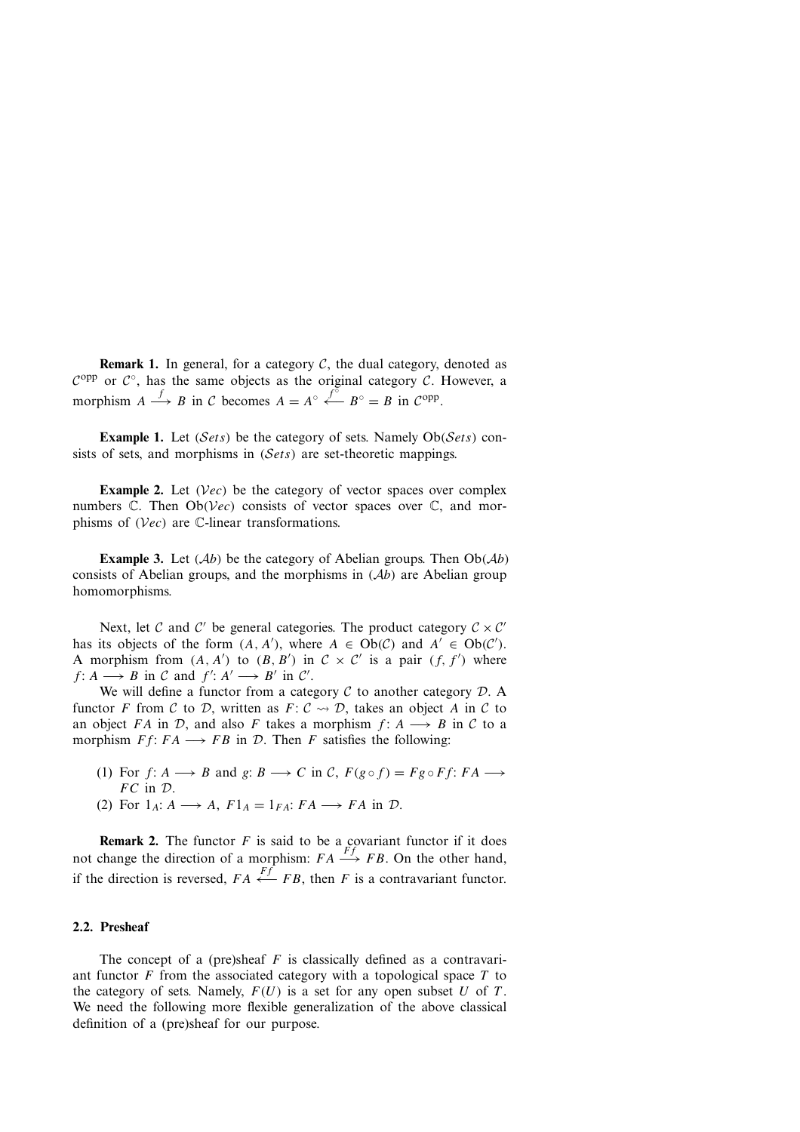**Remark 1.** In general, for a category  $C$ , the dual category, denoted as  $C^{opp}$  or  $C^{\circ}$ , has the same objects as the original category C. However, a morphism  $A \stackrel{f}{\longrightarrow} B$  in C becomes  $A = A^\circ \stackrel{f^\circ}{\longleftarrow} B^\circ = B$  in C<sup>opp</sup>.

**Example 1.** Let  $(Sets)$  be the category of sets. Namely  $Ob(Sets)$  consists of sets, and morphisms in (Sets) are set-theoretic mappings.

**Example 2.** Let  $(\mathcal{V}ec)$  be the category of vector spaces over complex numbers  $\mathbb{C}$ . Then  $Ob(Vec)$  consists of vector spaces over  $\mathbb{C}$ , and morphisms of  $(Vec)$  are C-linear transformations.

**Example 3.** Let  $(Ab)$  be the category of Abelian groups. Then  $Ob(Ab)$ consists of Abelian groups, and the morphisms in  $(Ab)$  are Abelian group homomorphisms.

Next, let C and C' be general categories. The product category  $C \times C'$ has its objects of the form  $(A, A')$ , where  $A \in Ob(C)$  and  $A' \in Ob(C')$ .<br>A morphism from  $(A, A')$  to  $(B, B')$  in  $C \times C'$  is a pair  $(f, f')$  where A morphism from  $(A, A')$  to  $(B, B')$  in  $C \times C'$  is a pair  $(f, f')$  where  $f: A \longrightarrow B$  in  $C$  and  $f' : A' \longrightarrow B'$  in  $C'$ f:  $A \longrightarrow B$  in C and  $f' : A' \longrightarrow B'$  in C'.<br>We will define a functor from a cate

We will define a functor from a category  $C$  to another category  $D$ . A functor F from C to D, written as  $F: \mathcal{C} \rightarrow \mathcal{D}$ , takes an object A in C to an object FA in D, and also F takes a morphism  $f: A \longrightarrow B$  in C to a morphism  $Ff: FA \longrightarrow FB$  in  $D$ . Then F satisfies the following:

- (1) For  $f: A \longrightarrow B$  and  $g: B \longrightarrow C$  in  $C$ ,  $F(g \circ f) = Fg \circ Ff$ :  $FA \longrightarrow$  $FC$  in  $D$ .
- (2) For  $1_A: A \longrightarrow A$ ,  $F1_A = 1_{FA}: FA \longrightarrow FA$  in  $\mathcal{D}$ .

**Remark 2.** The functor F is said to be a covariant functor if it does not change the direction of a morphism:  $FA \xrightarrow{Ff} FB$ . On the other hand, if the direction is reversed,  $FA \stackrel{Ff}{\longleftarrow} FB$ , then F is a contravariant functor.

#### **2.2. Presheaf**

The concept of a (pre)sheaf  $F$  is classically defined as a contravariant functor  $F$  from the associated category with a topological space  $T$  to the category of sets. Namely,  $F(U)$  is a set for any open subset U of T. We need the following more flexible generalization of the above classical definition of a (pre)sheaf for our purpose.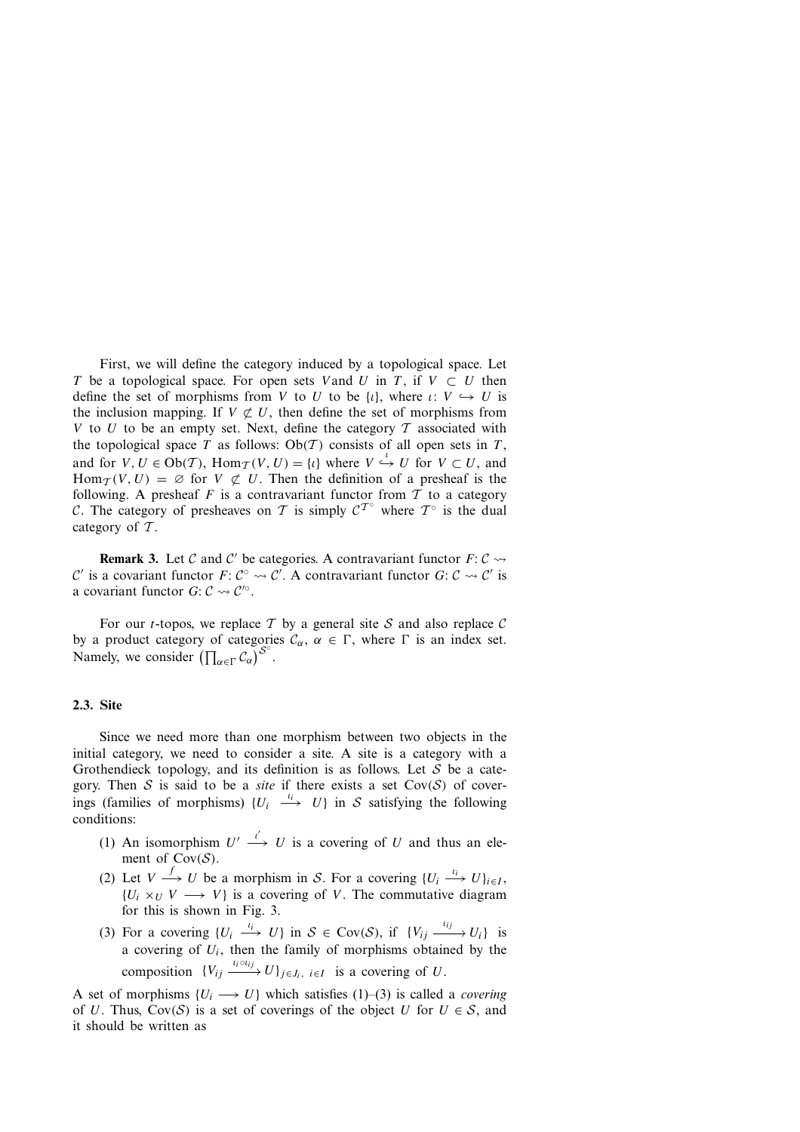First, we will define the category induced by a topological space. Let T be a topological space. For open sets V and U in T, if  $V \subset U$  then define the set of morphisms from V to U to be  $\{i\}$ , where  $\iota: V \hookrightarrow U$  is the inclusion mapping. If  $V \not\subset U$ , then define the set of morphisms from V to U to be an empty set. Next, define the category T associated with the topological space T as follows:  $Ob(T)$  consists of all open sets in T, and for  $V, U \in Ob(T)$ ,  $Hom_{\mathcal{T}}(V, U) = \{i\}$  where  $V \stackrel{\iota}{\hookrightarrow} U$  for  $V \subset U$ , and Hom $_T(V, U) = \emptyset$  for  $V \not\subset U$ . Then the definition of a presheaf is the following. A presheaf F is a contravariant functor from T to a category following. A presheaf F is a contravariant functor from T to a category  $\mathcal{C}$ . The category of presheaves on T is simply  $\mathcal{C}^{\mathcal{T}^{\circ}}$  where  $\mathcal{T}^{\circ}$  is the dual category of  $T$ .

**Remark 3.** Let C and C' be categories. A contravariant functor  $F: \mathcal{C} \rightarrow$ C' is a covariant functor  $F: C^\circ \rightsquigarrow C'$ . A contravariant functor  $G: C \rightsquigarrow C'$  is a covariant functor  $G: C \rightsquigarrow C'^\circ$ a covariant functor  $G: \mathcal{C} \rightarrow \mathcal{C}'^\circ$ .

For our *t*-topos, we replace T by a general site S and also replace C by a product category of categories  $C_{\alpha}$ ,  $\alpha \in \Gamma$ , where  $\Gamma$  is an index set. Namely, we consider  $(\prod_{\alpha \in \Gamma} C_{\alpha})^{S^{\circ}}$ .

#### **2.3. Site**

Since we need more than one morphism between two objects in the initial category, we need to consider a site. A site is a category with a Grothendieck topology, and its definition is as follows. Let S be a category. Then S is said to be a *site* if there exists a set  $Cov(S)$  of coverings (families of morphisms)  $\{U_i \stackrel{\iota_i}{\longrightarrow} U\}$  in S satisfying the following conditions:

- (1) An isomorphism  $U' \stackrel{\iota'}{\longrightarrow} U$  is a covering of U and thus an ele-<br>ment of  $Cov(S)$ ment of Cov(S).<br>(2) Let  $V \xrightarrow{f} U$  be a morphism in S. For a covering  $\{U_i \xrightarrow{i_i} U\}_{i \in I}$ ,
- ${U_i \times_U V \longrightarrow V}$  is a covering of V. The commutative diagram for this is shown in Fig. 3.
- --(3) For a covering  $\{U_i \stackrel{i_i}{\longrightarrow} U\}$  in  $S \in \text{Cov}(S)$ , if  $\{V_{ij} \stackrel{i_{ij}}{\longrightarrow} U_i\}$  is a covering of  $U_i$ , then the family of morphisms obtained by the composition  $\{V_{ij} \xrightarrow{t_i \circ i_{ij}} U\}_{j \in J_i}$ ,  $i \in I$  is a covering of U.

A set of morphisms  $\{U_i \longrightarrow U\}$  which satisfies (1)–(3) is called a *covering* of U. Thus,  $Cov(S)$  is a set of coverings of the object U for  $U \in S$ , and it should be written as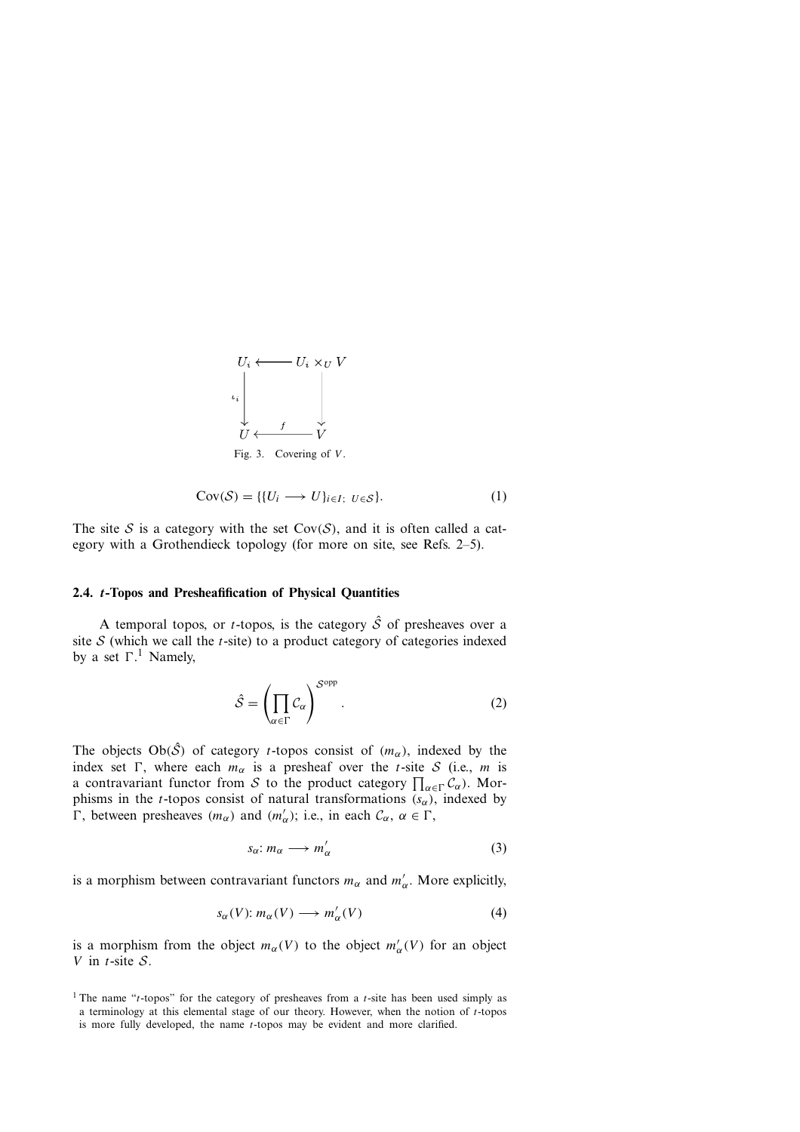

$$
Cov(S) = \{ \{U_i \longrightarrow U\}_{i \in I}; \ U \in S \}.
$$
 (1)

The site S is a category with the set  $Cov(S)$ , and it is often called a category with a Grothendieck topology (for more on site, see Refs. 2–5).

### **2.4.** *t***-Topos and Presheafification of Physical Quantities**

A temporal topos, or *t*-topos, is the category  $\hat{S}$  of presheaves over a site  $S$  (which we call the *t*-site) to a product category of categories indexed by a set  $\Gamma$ .<sup>1</sup> Namely,

$$
\hat{S} = \left(\prod_{\alpha \in \Gamma} C_{\alpha}\right)^{S^{\text{opp}}}.\tag{2}
$$

a contravariant functor from S to the product category  $\prod_{\alpha \in \Gamma} C_{\alpha}$ ). Mor-<br>phisms in the t-topos consist of natural transformations (s) indexed by The objects  $Ob(\hat{S})$  of category *t*-topos consist of  $(m_{\alpha})$ , indexed by the index set  $\Gamma$ , where each  $m_{\alpha}$  is a presheaf over the *t*-site *S* (i.e., *m* is phisms in the t-topos consist of natural transformations  $(s_{\alpha})$ , indexed by  $\Gamma$ , between presheaves  $(m_{\alpha})$  and  $(m'_{\alpha})$ ; i.e., in each  $C_{\alpha}$ ,  $\alpha \in \Gamma$ ,

$$
s_{\alpha}: m_{\alpha} \longrightarrow m_{\alpha}' \tag{3}
$$

is a morphism between contravariant functors  $m_{\alpha}$  and  $m'_{\alpha}$ . More explicitly,

$$
s_{\alpha}(V): m_{\alpha}(V) \longrightarrow m_{\alpha}'(V) \tag{4}
$$

is a morphism from the object  $m_{\alpha}(V)$  to the object  $m_{\alpha}'(V)$  for an object  $V$  in t-site S V in  $t$ -site  $S$ .

<sup>&</sup>lt;sup>1</sup> The name "t-topos" for the category of presheaves from a t-site has been used simply as a terminology at this elemental stage of our theory. However, when the notion of  $t$ -topos is more fully developed, the name t-topos may be evident and more clarified.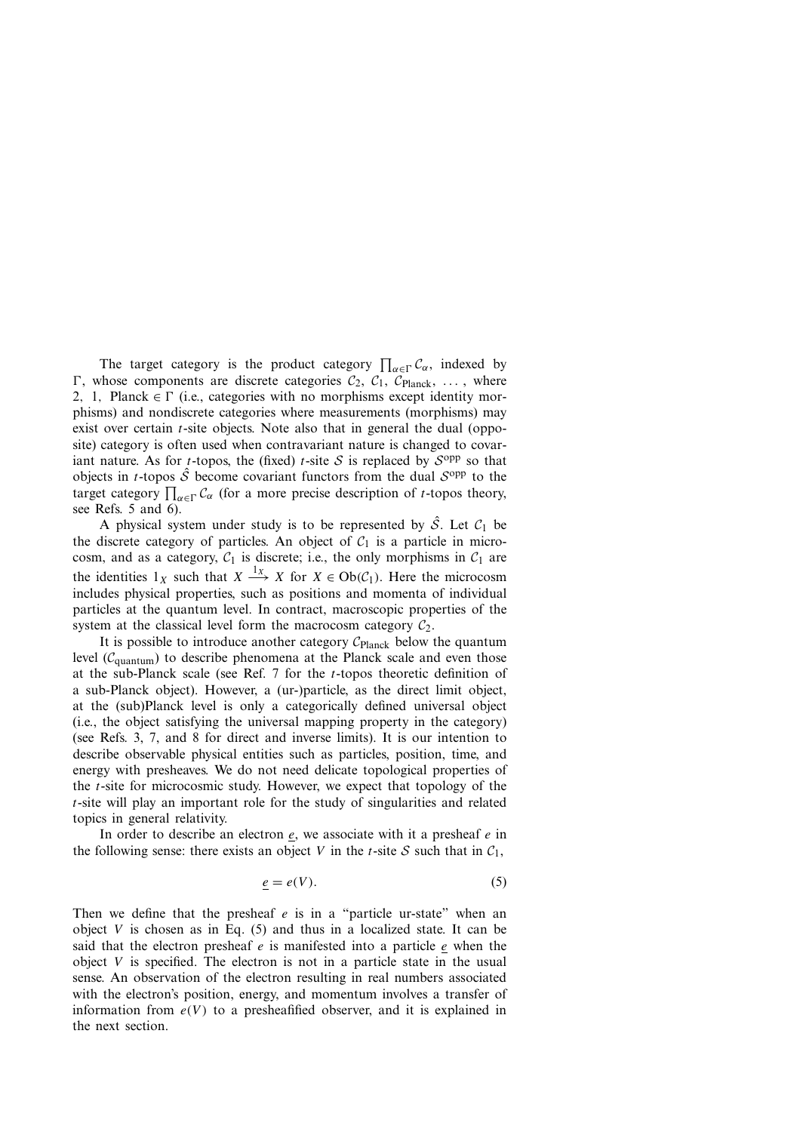The target category is the product category  $\prod_{\alpha \in \Gamma} C_{\alpha}$ , indexed by those components are discrete categories  $C_2$ ,  $C_1$ ,  $C_{\text{Planck}}$  where target category  $\prod_{\alpha \in \Gamma} C_{\alpha}$  (for a more precise description of *t*-topos theory, see Refs. 5 and 6)  $\Gamma$ , whose components are discrete categories  $C_2$ ,  $C_1$ ,  $C_{\text{Planck}}$ , ..., where 2, 1, Planck  $\in \Gamma$  (i.e., categories with no morphisms except identity morphisms) and nondiscrete categories where measurements (morphisms) may exist over certain  $t$ -site objects. Note also that in general the dual (opposite) category is often used when contravariant nature is changed to covariant nature. As for *t*-topos, the (fixed) *t*-site S is replaced by  $S^{opp}$  so that objects in *t*-topos  $\hat{S}$  become covariant functors from the dual  $S^{opp}$  to the see Refs. 5 and 6).

A physical system under study is to be represented by  $\hat{S}$ . Let  $C_1$  be the discrete category of particles. An object of  $C_1$  is a particle in microcosm, and as a category,  $C_1$  is discrete; i.e., the only morphisms in  $C_1$  are the identities  $1_X$  such that  $X \xrightarrow{1_X} X$  for  $X \in Ob(\mathcal{C}_1)$ . Here the microcosm includes physical properties, such as positions and momenta of individual particles at the quantum level. In contract, macroscopic properties of the system at the classical level form the macrocosm category  $C_2$ .

It is possible to introduce another category  $C_{\text{Planck}}$  below the quantum level ( $C<sub>quantum</sub>$ ) to describe phenomena at the Planck scale and even those at the sub-Planck scale (see Ref.  $7$  for the  $t$ -topos theoretic definition of a sub-Planck object). However, a (ur-)particle, as the direct limit object, at the (sub)Planck level is only a categorically defined universal object (i.e., the object satisfying the universal mapping property in the category) (see Refs. 3, 7, and 8 for direct and inverse limits). It is our intention to describe observable physical entities such as particles, position, time, and energy with presheaves. We do not need delicate topological properties of the  $t$ -site for microcosmic study. However, we expect that topology of the t-site will play an important role for the study of singularities and related topics in general relativity.

In order to describe an electron  $e$ , we associate with it a presheaf  $e$  in the following sense: there exists an object V in the t-site S such that in  $C_1$ ,

$$
\underline{e} = e(V). \tag{5}
$$

Then we define that the presheaf  $e$  is in a "particle ur-state" when an object V is chosen as in Eq.  $(5)$  and thus in a localized state. It can be said that the electron presheaf  $e$  is manifested into a particle  $e$  when the object  $V$  is specified. The electron is not in a particle state in the usual sense. An observation of the electron resulting in real numbers associated with the electron's position, energy, and momentum involves a transfer of information from  $e(V)$  to a presheafified observer, and it is explained in the next section.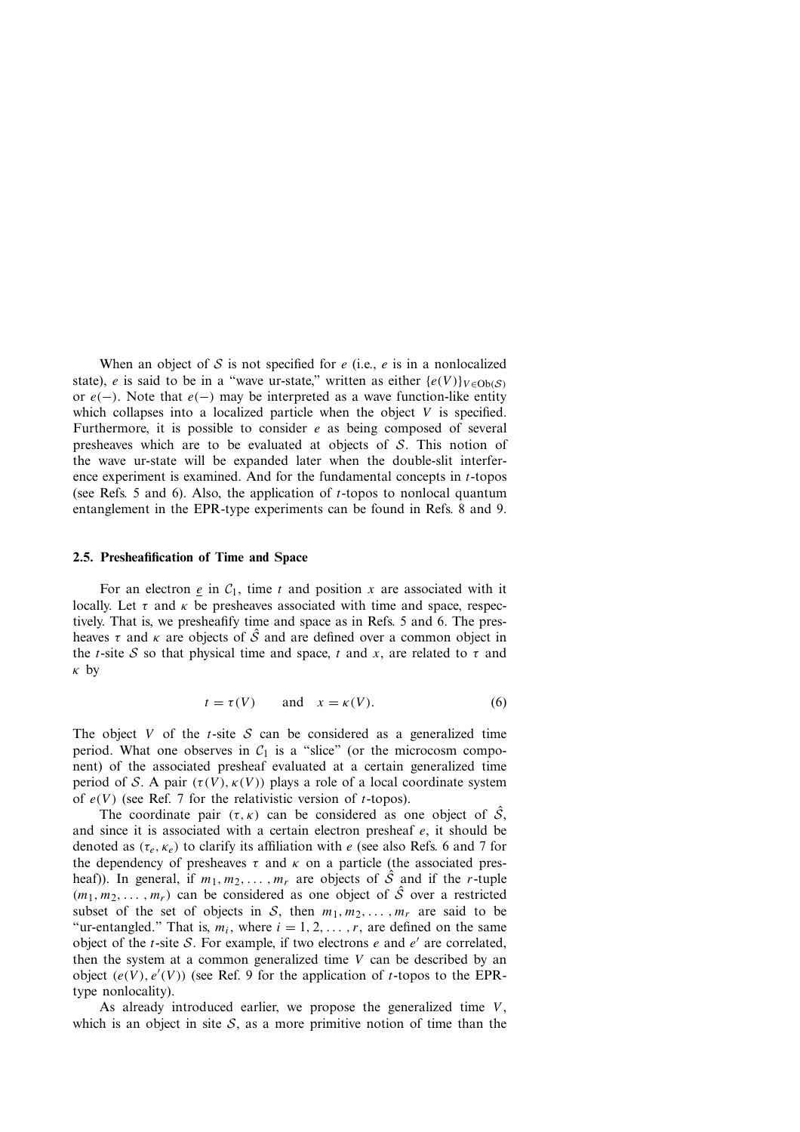When an object of S is not specified for  $e$  (i.e.,  $e$  is in a nonlocalized state), e is said to be in a "wave ur-state," written as either  $\{e(V)\}_{V \in \text{Ob}(S)}$ or  $e(-)$ . Note that  $e(-)$  may be interpreted as a wave function-like entity which collapses into a localized particle when the object  $V$  is specified. Furthermore, it is possible to consider  $e$  as being composed of several presheaves which are to be evaluated at objects of  $S$ . This notion of the wave ur-state will be expanded later when the double-slit interference experiment is examined. And for the fundamental concepts in t-topos (see Refs. <sup>5</sup> and 6). Also, the application of t-topos to nonlocal quantum entanglement in the EPR-type experiments can be found in Refs. 8 and 9.

#### **2.5. Presheafification of Time and Space**

For an electron e in  $C_1$ , time t and position x are associated with it locally. Let  $\tau$  and  $\kappa$  be presheaves associated with time and space, respectively. That is, we presheafify time and space as in Refs. 5 and 6. The presheaves  $\tau$  and  $\kappa$  are objects of  $\hat{S}$  and are defined over a common object in the t-site S so that physical time and space, t and x, are related to  $\tau$  and κ by

$$
t = \tau(V) \qquad \text{and} \quad x = \kappa(V). \tag{6}
$$

The object V of the t-site S can be considered as a generalized time period. What one observes in  $C_1$  is a "slice" (or the microcosm component) of the associated presheaf evaluated at a certain generalized time period of S. A pair  $(\tau(V), \kappa(V))$  plays a role of a local coordinate system of  $e(V)$  (see Ref. 7 for the relativistic version of *t*-topos).

The coordinate pair  $(\tau, \kappa)$  can be considered as one object of  $\hat{S}$ , and since it is associated with a certain electron presheaf  $e$ , it should be denoted as  $(\tau_e, \kappa_e)$  to clarify its affiliation with e (see also Refs. 6 and 7 for the dependency of presheaves  $\tau$  and  $\kappa$  on a particle (the associated presheaf)). In general, if  $m_1, m_2, \ldots, m_r$  are objects of  $\hat{S}$  and if the r-tuple  $(m_1, m_2, \ldots, m_r)$  can be considered as one object of  $\hat{S}$  over a restricted subset of the set of objects in S, then  $m_1, m_2, \ldots, m_r$  are said to be "ur-entangled." That is,  $m_i$ , where  $i = 1, 2, \dots, r$ , are defined on the same object of the *t*-site S. For example, if two electrons e and  $e'$  are correlated, then the system at a common generalized time  $V$  can be described by an object  $(e(V), e'(V))$  (see Ref. 9 for the application of *t*-topos to the EPR-type nonlocality) type nonlocality).

As already introduced earlier, we propose the generalized time  $V$ , which is an object in site  $S$ , as a more primitive notion of time than the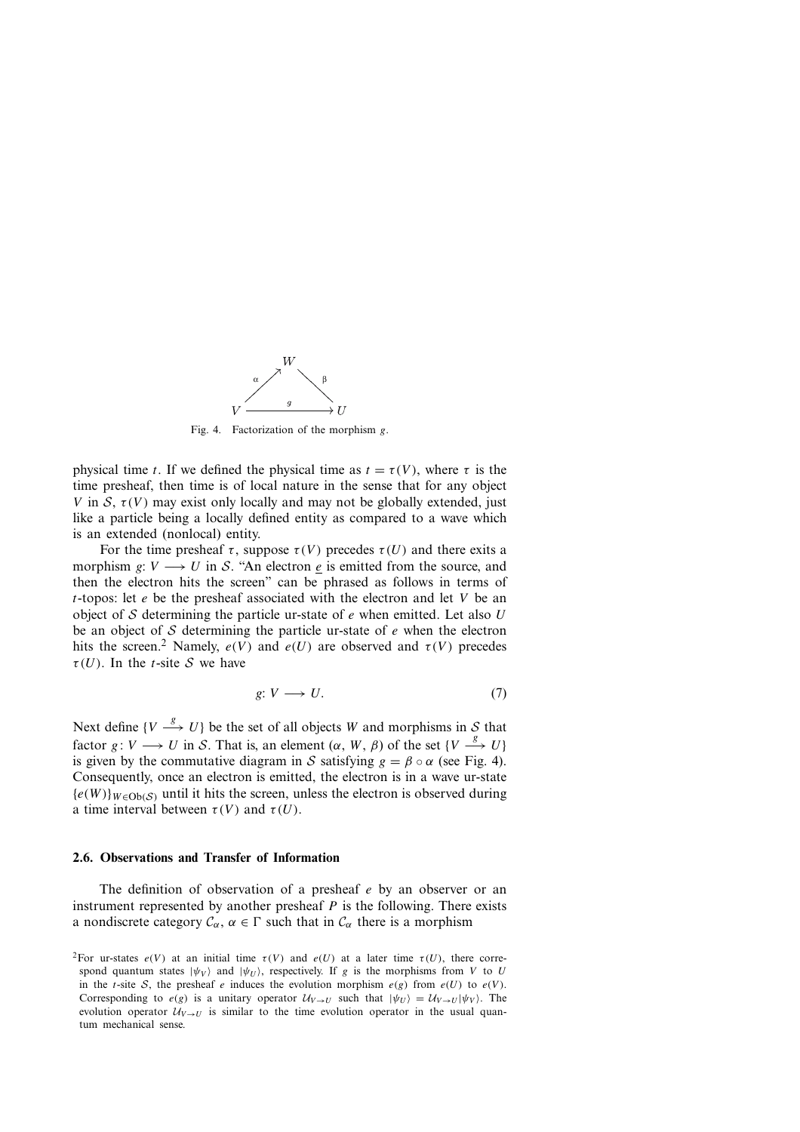

Fig. 4. Factorization of the morphism  $e$ .

physical time t. If we defined the physical time as  $t = \tau(V)$ , where  $\tau$  is the time presheaf, then time is of local nature in the sense that for any object V in S,  $\tau(V)$  may exist only locally and may not be globally extended, just like a particle being a locally defined entity as compared to a wave which is an extended (nonlocal) entity.

For the time presheaf  $\tau$ , suppose  $\tau(V)$  precedes  $\tau(U)$  and there exits a morphism g:  $V \rightarrow U$  in S. "An electron e is emitted from the source, and then the electron hits the screen" can be phrased as follows in terms of t-topos: let  $e$  be the presheaf associated with the electron and let V be an object of S determining the particle ur-state of  $e$  when emitted. Let also  $U$ be an object of  $S$  determining the particle ur-state of  $e$  when the electron hits the screen.<sup>2</sup> Namely,  $e(V)$  and  $e(U)$  are observed and  $\tau(V)$  precedes  $\tau(U)$ . In the *t*-site S we have

$$
g: V \longrightarrow U. \tag{7}
$$

Next define  $\{V \stackrel{g}{\longrightarrow} U\}$  be the set of all objects W and morphisms in S that factor g: V  $\longrightarrow U$  in S. That is, an element  $(\alpha, W, \beta)$  of the set  $\{V \stackrel{g}{\longrightarrow} U\}$ is given by the commutative diagram in S satisfying  $g = \beta \circ \alpha$  (see Fig. 4). Consequently, once an electron is emitted, the electron is in a wave ur-state  ${e(W)}_{W \in Ob(S)}$  until it hits the screen, unless the electron is observed during a time interval between  $\tau(V)$  and  $\tau(U)$ .

#### **2.6. Observations and Transfer of Information**

The definition of observation of a presheaf  $e$  by an observer or an instrument represented by another presheaf  $P$  is the following. There exists a nondiscrete category  $C_{\alpha}$ ,  $\alpha \in \Gamma$  such that in  $C_{\alpha}$  there is a morphism

<sup>&</sup>lt;sup>2</sup>For ur-states  $e(V)$  at an initial time  $\tau(V)$  and  $e(U)$  at a later time  $\tau(U)$ , there correspond quantum states  $|\psi_V\rangle$  and  $|\psi_U\rangle$ , respectively. If g is the morphisms from V to U in the t-site S, the presheaf e induces the evolution morphism  $e(g)$  from  $e(U)$  to  $e(V)$ . Corresponding to  $e(g)$  is a unitary operator  $\mathcal{U}_{V\rightarrow U}$  such that  $|\psi_{U}\rangle = \mathcal{U}_{V\rightarrow U}|\psi_{V}\rangle$ . The evolution operator  $U_{V\to U}$  is similar to the time evolution operator in the usual quantum mechanical sense.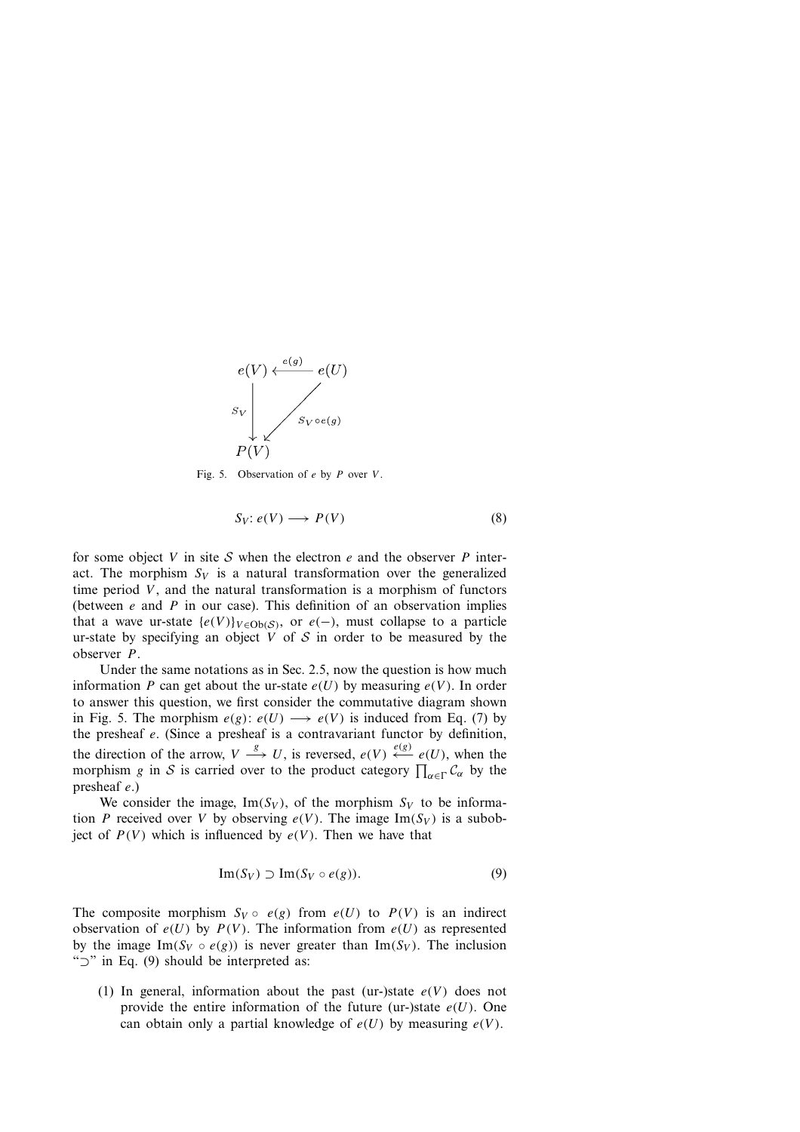

Fig. 5. Observation of  $e$  by  $P$  over  $V$ .

$$
S_V: e(V) \longrightarrow P(V) \tag{8}
$$

for some object V in site S when the electron e and the observer P interact. The morphism  $S_V$  is a natural transformation over the generalized time period  $V$ , and the natural transformation is a morphism of functors (between  $e$  and  $P$  in our case). This definition of an observation implies that a wave ur-state  $\{e(V)\}_{V \in Ob(S)}$ , or  $e(-)$ , must collapse to a particle ur-state by specifying an object  $V$  of  $S$  in order to be measured by the observer P.

the direction of the arrow,  $V \xrightarrow{\delta} U$ , is reversed,  $e(V) \xleftarrow{\epsilon \kappa} e(U)$ , when the morphism g in S is carried over to the product category  $\prod_{\alpha \in \Gamma} C_{\alpha}$  by the Under the same notations as in Sec. 2.5, now the question is how much information P can get about the ur-state  $e(U)$  by measuring  $e(V)$ . In order to answer this question, we first consider the commutative diagram shown in Fig. 5. The morphism  $e(g)$ :  $e(U) \longrightarrow e(V)$  is induced from Eq. (7) by the presheaf e. (Since <sup>a</sup> presheaf is <sup>a</sup> contravariant functor by definition, morphism g in S is carried over to the product category  $\prod_{\alpha \in \Gamma} C_{\alpha}$  by the presheaf  $e_{\alpha}$ ) presheaf e.)

We consider the image,  $Im(S_V)$ , of the morphism  $S_V$  to be information P received over V by observing  $e(V)$ . The image Im(S<sub>V</sub>) is a subobject of  $P(V)$  which is influenced by  $e(V)$ . Then we have that

$$
\operatorname{Im}(S_V) \supset \operatorname{Im}(S_V \circ e(g)). \tag{9}
$$

The composite morphism  $S_V \circ e(g)$  from  $e(U)$  to  $P(V)$  is an indirect observation of  $e(U)$  by  $P(V)$ . The information from  $e(U)$  as represented by the image Im( $S_V \circ e(g)$ ) is never greater than Im( $S_V$ ). The inclusion "⊃" in Eq. (9) should be interpreted as:

(1) In general, information about the past (ur-)state  $e(V)$  does not provide the entire information of the future (ur-)state  $e(U)$ . One can obtain only a partial knowledge of  $e(U)$  by measuring  $e(V)$ .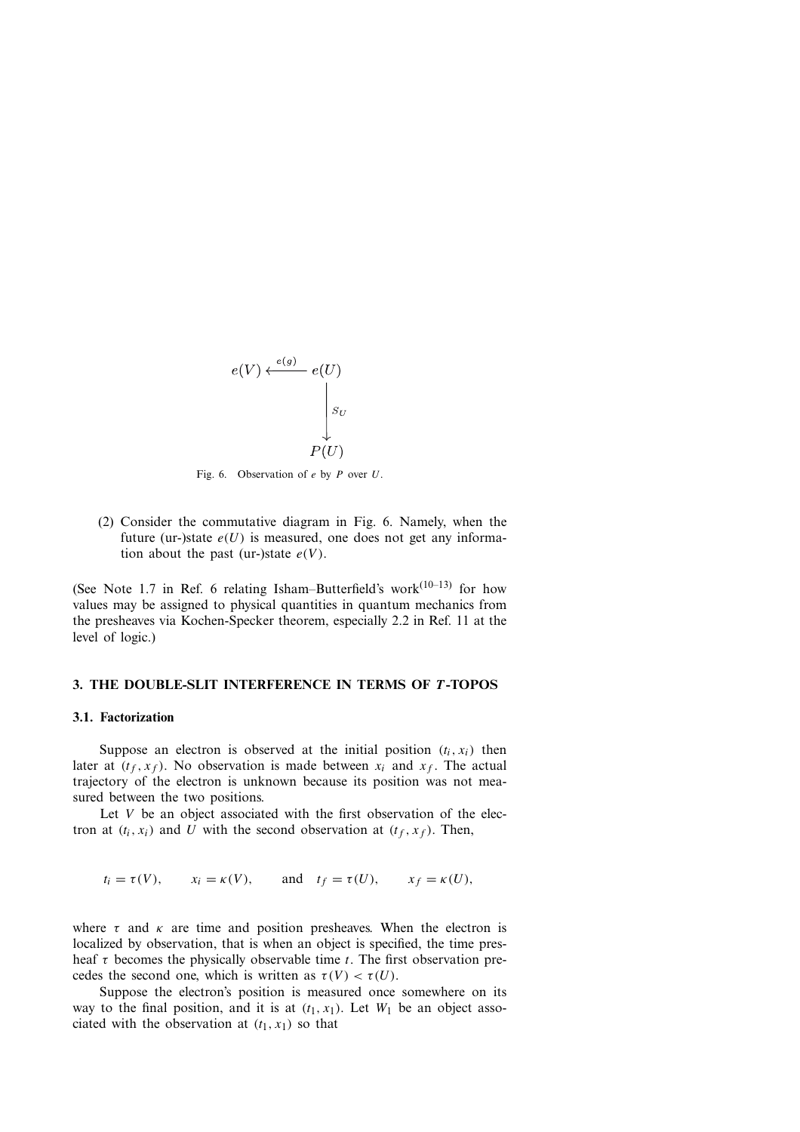

Fig. 6. Observation of  $e$  by  $P$  over  $U$ .

(2) Consider the commutative diagram in Fig. 6. Namely, when the future (ur-)state  $e(U)$  is measured, one does not get any information about the past (ur-)state  $e(V)$ .

(See Note 1.7 in Ref. 6 relating Isham–Butterfield's work $(10-13)$  for how values may be assigned to physical quantities in quantum mechanics from the presheaves via Kochen-Specker theorem, especially 2.2 in Ref. 11 at the level of logic.)

#### **3. THE DOUBLE-SLIT INTERFERENCE IN TERMS OF** *T* **-TOPOS**

#### **3.1. Factorization**

Suppose an electron is observed at the initial position  $(t_i, x_i)$  then later at  $(t_f, x_f)$ . No observation is made between  $x_i$  and  $x_f$ . The actual trajectory of the electron is unknown because its position was not measured between the two positions.

Let  $V$  be an object associated with the first observation of the electron at  $(t_i, x_i)$  and U with the second observation at  $(t_f, x_f)$ . Then,

 $t_i = \tau(V)$ ,  $x_i = \kappa(V)$ , and  $t_f = \tau(U)$ ,  $x_f = \kappa(U)$ ,

where  $\tau$  and  $\kappa$  are time and position presheaves. When the electron is localized by observation, that is when an object is specified, the time presheaf  $\tau$  becomes the physically observable time t. The first observation precedes the second one, which is written as  $\tau(V) < \tau(U)$ .

Suppose the electron's position is measured once somewhere on its way to the final position, and it is at  $(t_1, x_1)$ . Let  $W_1$  be an object associated with the observation at  $(t_1, x_1)$  so that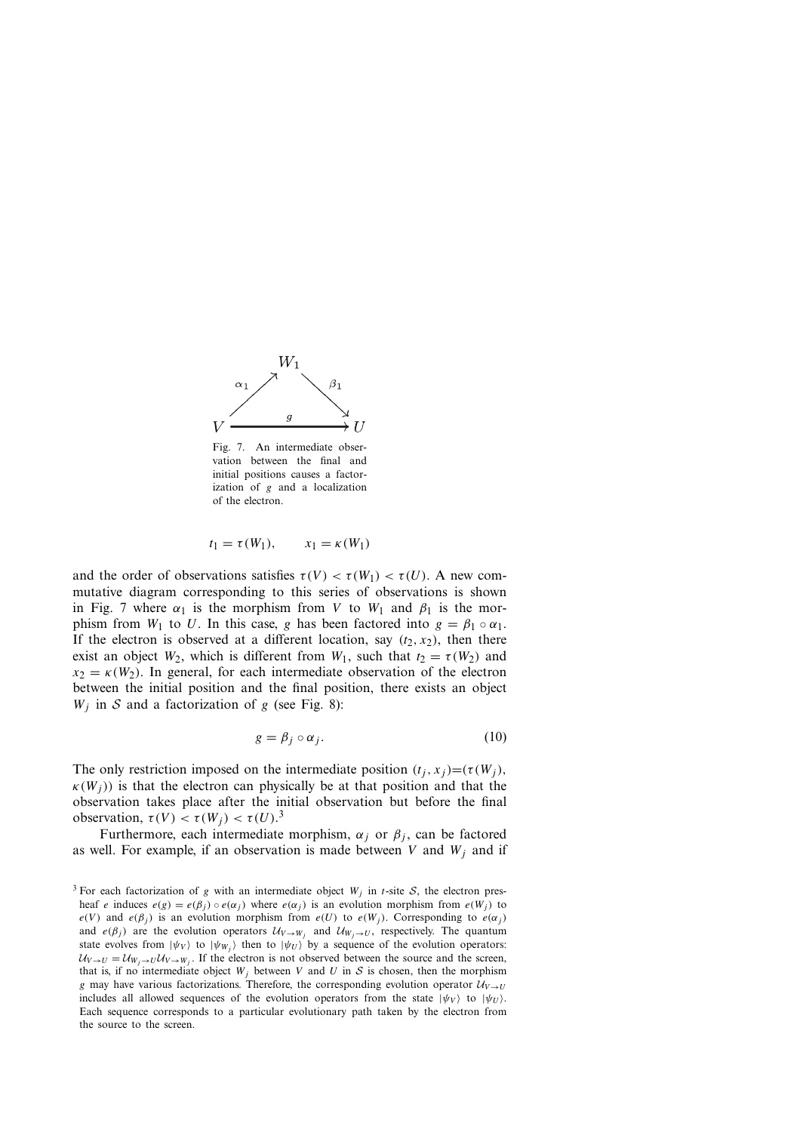

Fig. 7. An intermediate observation between the final and initial positions causes a factorization of  $g$  and a localization of the electron.

$$
t_1 = \tau(W_1), \qquad x_1 = \kappa(W_1)
$$

and the order of observations satisfies  $\tau(V) < \tau(W_1) < \tau(U)$ . A new commutative diagram corresponding to this series of observations is shown in Fig. 7 where  $\alpha_1$  is the morphism from V to  $W_1$  and  $\beta_1$  is the morphism from  $W_1$  to U. In this case, g has been factored into  $g = \beta_1 \circ \alpha_1$ . If the electron is observed at a different location, say  $(t_2, x_2)$ , then there exist an object  $W_2$ , which is different from  $W_1$ , such that  $t_2 = \tau(W_2)$  and  $x_2 = \kappa(W_2)$ . In general, for each intermediate observation of the electron between the initial position and the final position, there exists an object  $W_i$  in S and a factorization of g (see Fig. 8):

$$
g = \beta_j \circ \alpha_j. \tag{10}
$$

The only restriction imposed on the intermediate position  $(t_i, x_j) = (\tau(W_i))$ ,  $\kappa(W_i)$ ) is that the electron can physically be at that position and that the observation takes place after the initial observation but before the final observation,  $\tau(V) < \tau(W_j) < \tau(U)$ .<sup>3</sup><br>Eurthermore, each intermediate

Furthermore, each intermediate morphism,  $\alpha_i$  or  $\beta_i$ , can be factored as well. For example, if an observation is made between V and  $W_i$  and if

<sup>&</sup>lt;sup>3</sup> For each factorization of g with an intermediate object  $W_j$  in t-site S, the electron presheaf e induces  $e(g) = e(\beta_i) \circ e(\alpha_i)$  where  $e(\alpha_i)$  is an evolution morphism from  $e(W_i)$  to  $e(V)$  and  $e(\beta_j)$  is an evolution morphism from  $e(U)$  to  $e(W_j)$ . Corresponding to  $e(\alpha_j)$ and  $e(\beta_j)$  are the evolution operators  $\mathcal{U}_{V\rightarrow W_j}$  and  $\mathcal{U}_{W_j\rightarrow U}$ , respectively. The quantum state evolves from  $|\psi_V\rangle$  to  $|\psi_{W_i}\rangle$  then to  $|\psi_U\rangle$  by a sequence of the evolution operators:  $U_{V\to U} = U_{W_i \to U} U_{V\to W_i}$ . If the electron is not observed between the source and the screen, that is, if no intermediate object  $W_i$  between V and U in S is chosen, then the morphism g may have various factorizations. Therefore, the corresponding evolution operator  $\mathcal{U}_{V\rightarrow U}$ includes all allowed sequences of the evolution operators from the state  $|\psi_V\rangle$  to  $|\psi_U\rangle$ . Each sequence corresponds to a particular evolutionary path taken by the electron from the source to the screen.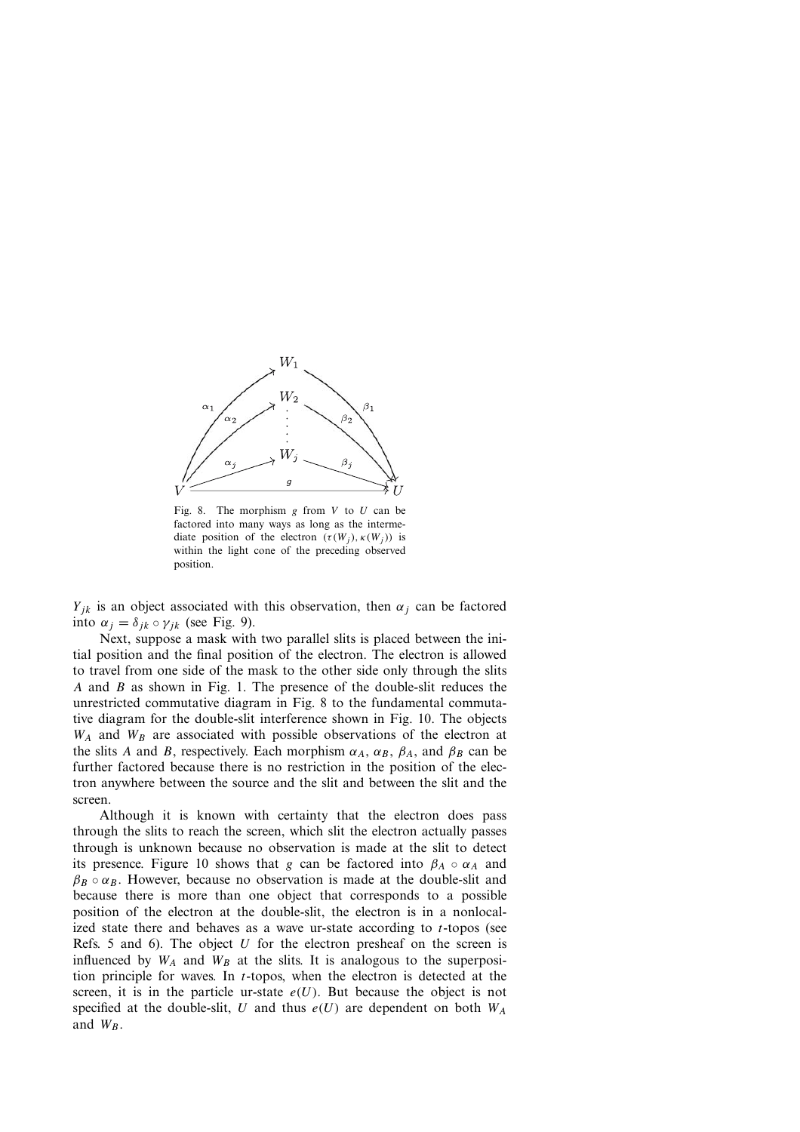

Fig. 8. The morphism  $g$  from  $V$  to  $U$  can be factored into many ways as long as the intermediate position of the electron  $(\tau(W_i), \kappa(W_i))$  is within the light cone of the preceding observed position.

 $Y_{ik}$  is an object associated with this observation, then  $\alpha_i$  can be factored into  $\alpha_i = \delta_{ik} \circ \gamma_{ik}$  (see Fig. 9).

Next, suppose a mask with two parallel slits is placed between the initial position and the final position of the electron. The electron is allowed to travel from one side of the mask to the other side only through the slits A and B as shown in Fig. 1. The presence of the double-slit reduces the unrestricted commutative diagram in Fig. 8 to the fundamental commutative diagram for the double-slit interference shown in Fig. 10. The objects  $W_A$  and  $W_B$  are associated with possible observations of the electron at the slits A and B, respectively. Each morphism  $\alpha_A$ ,  $\alpha_B$ ,  $\beta_A$ , and  $\beta_B$  can be further factored because there is no restriction in the position of the electron anywhere between the source and the slit and between the slit and the screen.

Although it is known with certainty that the electron does pass through the slits to reach the screen, which slit the electron actually passes through is unknown because no observation is made at the slit to detect its presence. Figure 10 shows that g can be factored into  $\beta_A \circ \alpha_A$  and  $\beta_B \circ \alpha_B$ . However, because no observation is made at the double-slit and because there is more than one object that corresponds to a possible position of the electron at the double-slit, the electron is in a nonlocalized state there and behaves as a wave ur-state according to  $t$ -topos (see Refs. 5 and 6). The object  $U$  for the electron presheaf on the screen is influenced by  $W_A$  and  $W_B$  at the slits. It is analogous to the superposition principle for waves. In  $t$ -topos, when the electron is detected at the screen, it is in the particle ur-state  $e(U)$ . But because the object is not specified at the double-slit, U and thus  $e(U)$  are dependent on both  $W_A$ and  $W_B$ .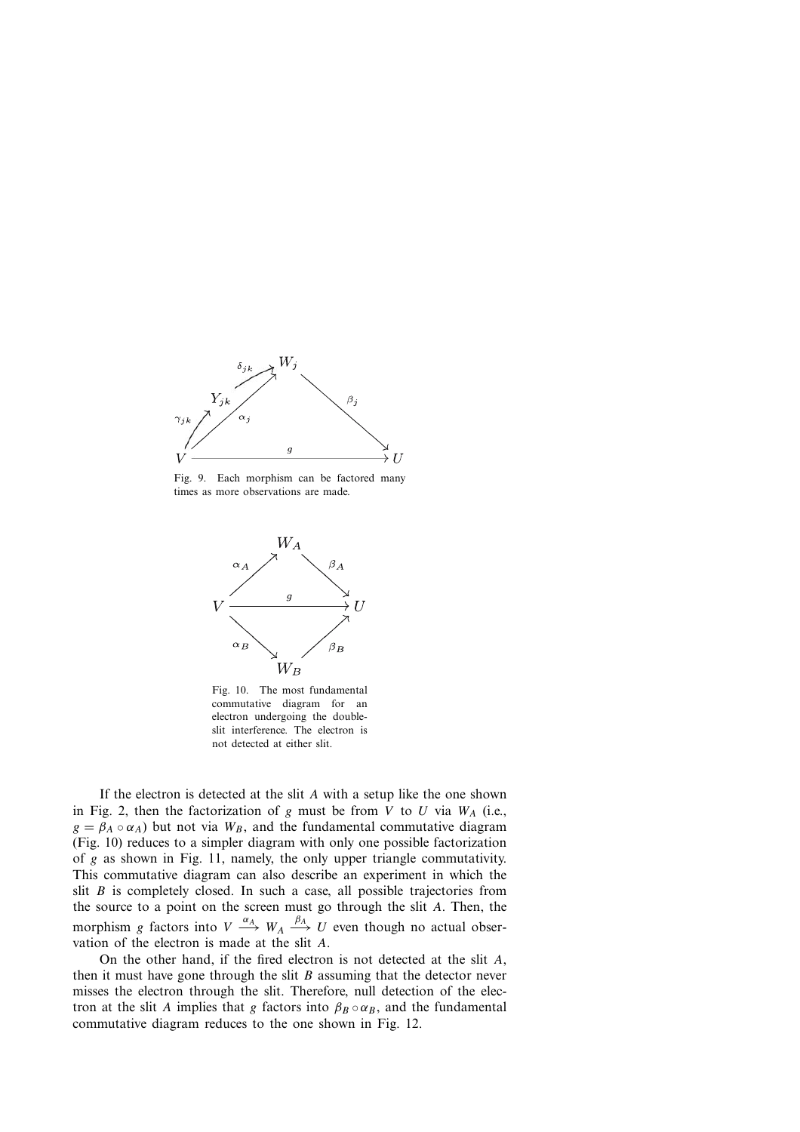

Fig. 9. Each morphism can be factored many times as more observations are made.



Fig. 10. The most fundamental commutative diagram for an electron undergoing the doubleslit interference. The electron is not detected at either slit.

If the electron is detected at the slit A with <sup>a</sup> setup like the one shown in Fig. 2, then the factorization of g must be from V to U via  $W_A$  (i.e.,  $g = \beta_A \circ \alpha_A$ ) but not via  $W_B$ , and the fundamental commutative diagram (Fig. 10) reduces to a simpler diagram with only one possible factorization of g as shown in Fig. 11, namely, the only upper triangle commutativity. This commutative diagram can also describe an experiment in which the slit  $B$  is completely closed. In such a case, all possible trajectories from the source to a point on the screen must go through the slit  $A$ . Then, the morphism g factors into  $V \xrightarrow{\alpha_A} W_A \xrightarrow{\beta_A} U$  even though no actual observation of the electron is made at the slit A.

On the other hand, if the fired electron is not detected at the slit A, then it must have gone through the slit  $B$  assuming that the detector never misses the electron through the slit. Therefore, null detection of the electron at the slit A implies that g factors into  $\beta_B \circ \alpha_B$ , and the fundamental commutative diagram reduces to the one shown in Fig. 12.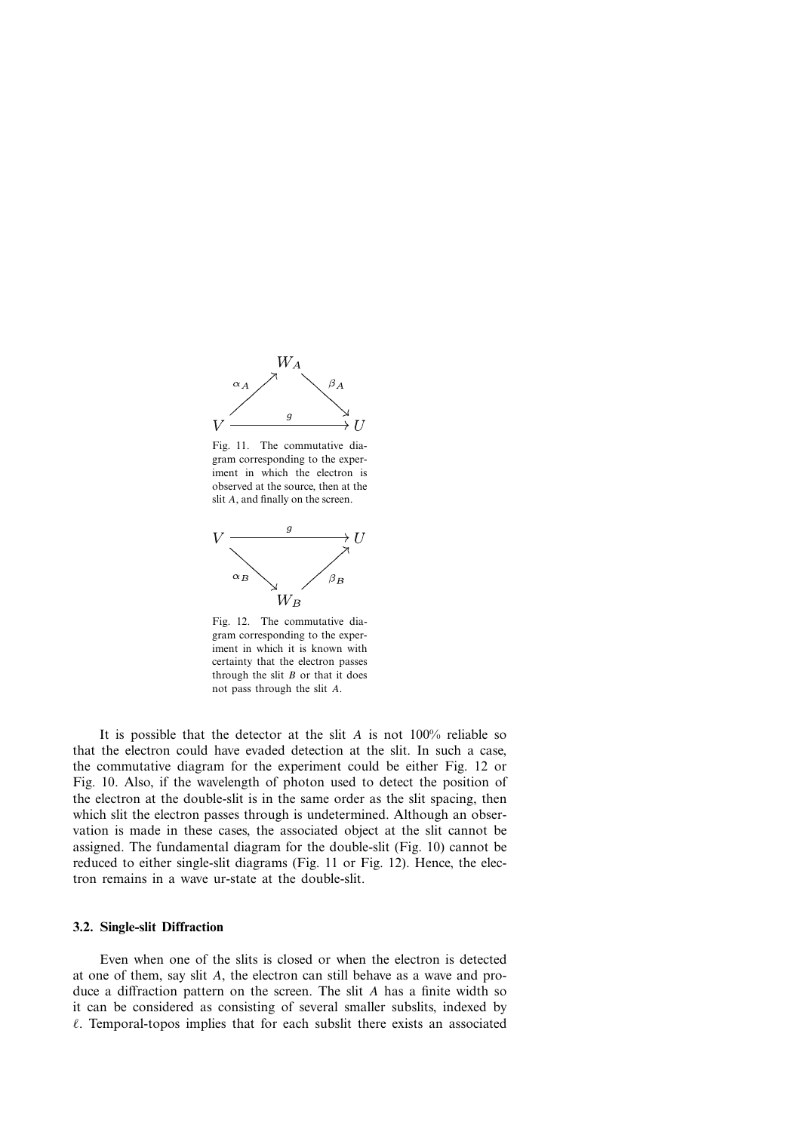

Fig. 11. The commutative diagram corresponding to the experiment in which the electron is observed at the source, then at the slit A, and finally on the screen.



Fig. 12. The commutative diagram corresponding to the experiment in which it is known with certainty that the electron passes through the slit  $B$  or that it does not pass through the slit A.

It is possible that the detector at the slit A is not  $100\%$  reliable so that the electron could have evaded detection at the slit. In such a case, the commutative diagram for the experiment could be either Fig. 12 or Fig. 10. Also, if the wavelength of photon used to detect the position of the electron at the double-slit is in the same order as the slit spacing, then which slit the electron passes through is undetermined. Although an observation is made in these cases, the associated object at the slit cannot be assigned. The fundamental diagram for the double-slit (Fig. 10) cannot be reduced to either single-slit diagrams (Fig. 11 or Fig. 12). Hence, the electron remains in a wave ur-state at the double-slit.

#### **3.2. Single-slit Diffraction**

Even when one of the slits is closed or when the electron is detected at one of them, say slit A, the electron can still behave as <sup>a</sup> wave and produce <sup>a</sup> diffraction pattern on the screen. The slit A has <sup>a</sup> finite width so it can be considered as consisting of several smaller subslits, indexed by  $\ell$ . Temporal-topos implies that for each subslit there exists an associated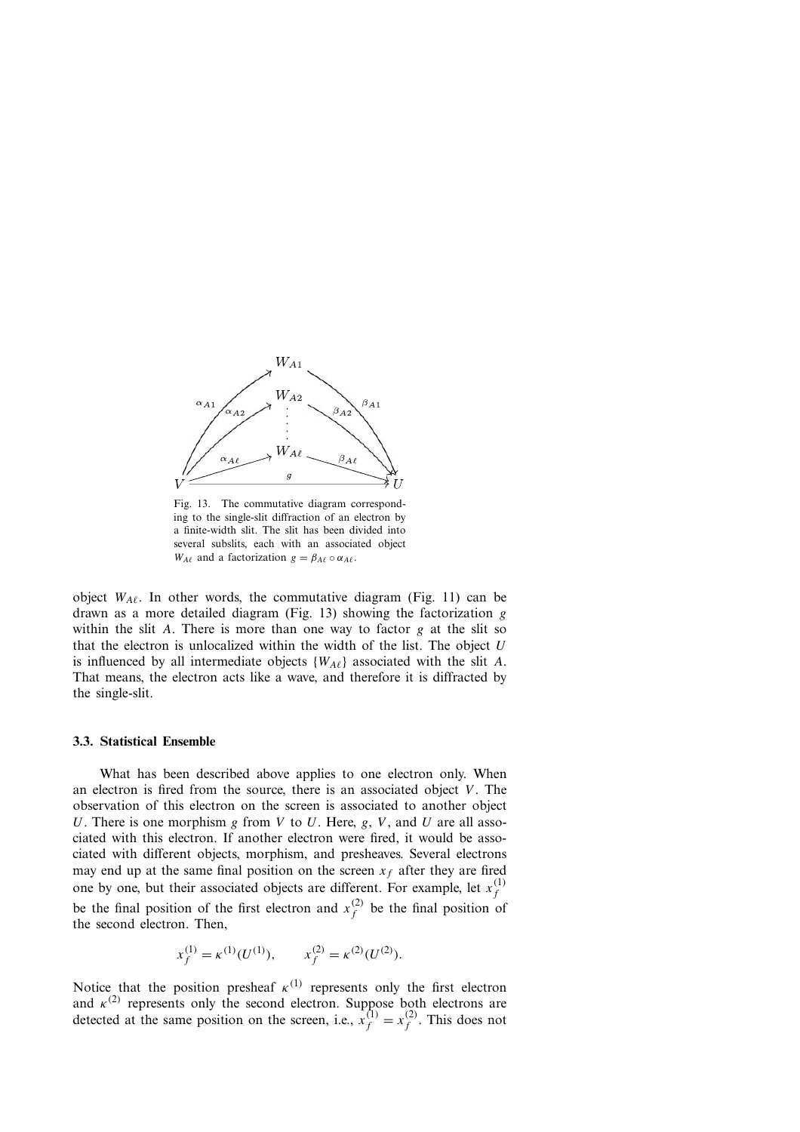

Fig. 13. The commutative diagram corresponding to the single-slit diffraction of an electron by a finite-width slit. The slit has been divided into several subslits, each with an associated object  $W_{A\ell}$  and a factorization  $g = \beta_{A\ell} \circ \alpha_{A\ell}$ .

object  $W_{A\ell}$ . In other words, the commutative diagram (Fig. 11) can be drawn as a more detailed diagram (Fig. 13) showing the factorization g within the slit A. There is more than one way to factor  $g$  at the slit so that the electron is unlocalized within the width of the list. The object  $U$ is influenced by all intermediate objects  $\{W_{A\ell}\}\$  associated with the slit A. That means, the electron acts like a wave, and therefore it is diffracted by the single-slit.

#### **3.3. Statistical Ensemble**

What has been described above applies to one electron only. When an electron is fired from the source, there is an associated object  $V$ . The observation of this electron on the screen is associated to another object U. There is one morphism g from V to U. Here, g, V, and U are all associated with this electron. If another electron were fired, it would be associated with different objects, morphism, and presheaves. Several electrons may end up at the same final position on the screen  $x_f$  after they are fired one by one, but their associated objects are different. For example, let  $x_f^{(1)}$ be the final position of the first electron and  $x_f^{(2)}$  be the final position of the second electron. Then,

$$
x_f^{(1)} = \kappa^{(1)}(U^{(1)}), \qquad x_f^{(2)} = \kappa^{(2)}(U^{(2)}).
$$

Notice that the position presheaf  $\kappa^{(1)}$  represents only the first electron and  $\kappa^{(2)}$  represents only the second electron. Suppose both electrons are detected at the same position on the screen i.e.  $\kappa^{(1)} = \kappa^{(2)}$ . This does not detected at the same position on the screen, i.e.,  $x_f^{(1)} = x_f^{(2)}$ . This does not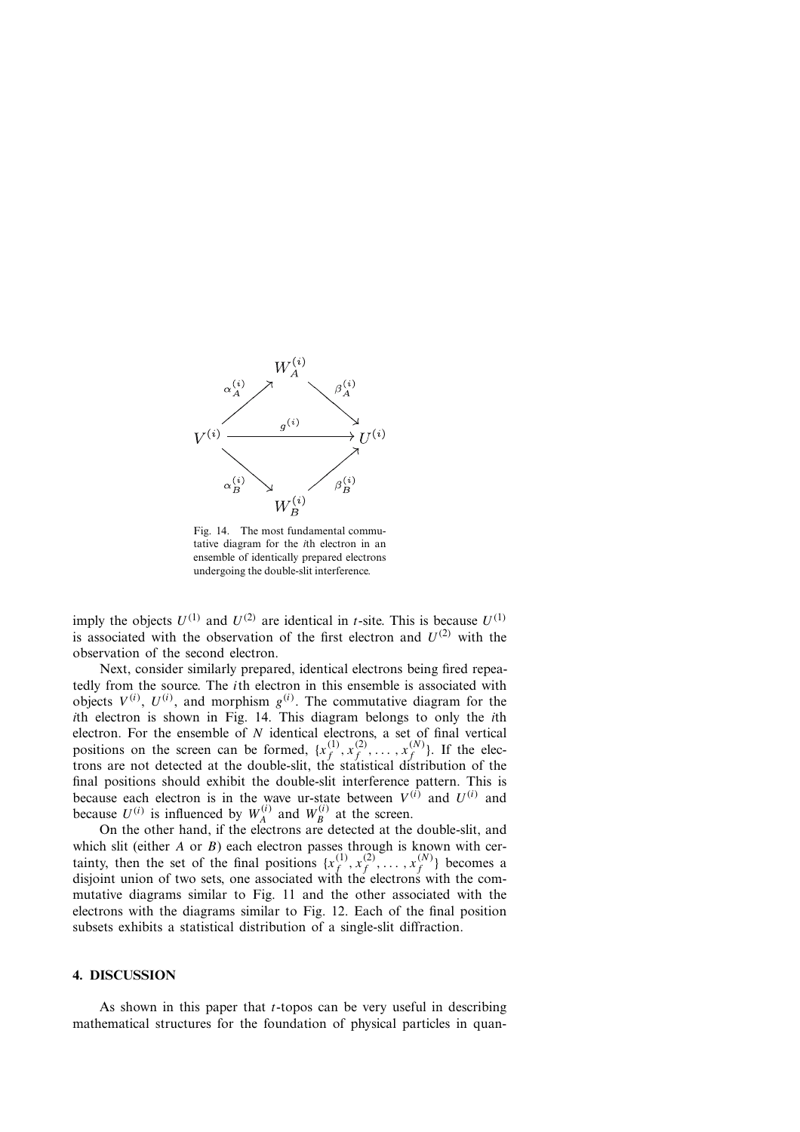

Fig. 14. The most fundamental commutative diagram for the *i*th electron in an ensemble of identically prepared electrons undergoing the double-slit interference.

imply the objects  $U^{(1)}$  and  $U^{(2)}$  are identical in *t*-site. This is because  $U^{(1)}$ is associated with the observation of the first electron and  $U^{(2)}$  with the observation of the second electron.

Next, consider similarly prepared, identical electrons being fired repeatedly from the source. The ith electron in this ensemble is associated with objects  $V^{(i)}$ ,  $U^{(i)}$ , and morphism  $g^{(i)}$ . The commutative diagram for the *i*th electron is shown in Fig. 14. This diagram belongs to only the *i*th electron. For the ensemble of N identical electrons, a set of final vertical<br>positions on the screen can be formed  $\{x^{(1)}, x^{(2)}\}$   $\{x^{(N)}\}$ . If the elecpositions on the screen can be formed,  $\{x_f^{(1)}, x_f^{(2)}, \ldots, x_f^{(N)}\}$ . If the electrons are not detected at the double-slit, the statistical distribution of the final positions should exhibit the double-slit interference pattern. This is because each electron is in the wave ur-state between  $V^{(i)}$  and  $U^{(i)}$  and hecause  $U^{(i)}$  is influenced by  $W^{(i)}$  and  $W^{(i)}$  at the screen because  $U^{(i)}$  is influenced by  $W_A^{(i)}$  and  $W_B^{(i)}$  at the screen.<br>On the other hand if the electrons are detected at the

On the other hand, if the electrons are detected at the double-slit, and which slit (either A or B) each electron passes through is known with cer-<br>tainty then the set of the final positions  $\int_{x}^{(1)} x^{(2)} dx^{(N)}$  becomes a tainty, then the set of the final positions  $\{x_f^{(1)}, x_f^{(2)}, \ldots, x_f^{(N)}\}$  becomes a disjoint union of two sets, one associated with the electrons with the commutative diagrams similar to Fig. 11 and the other associated with the electrons with the diagrams similar to Fig. 12. Each of the final position subsets exhibits a statistical distribution of a single-slit diffraction.

#### **4. DISCUSSION**

As shown in this paper that  $t$ -topos can be very useful in describing mathematical structures for the foundation of physical particles in quan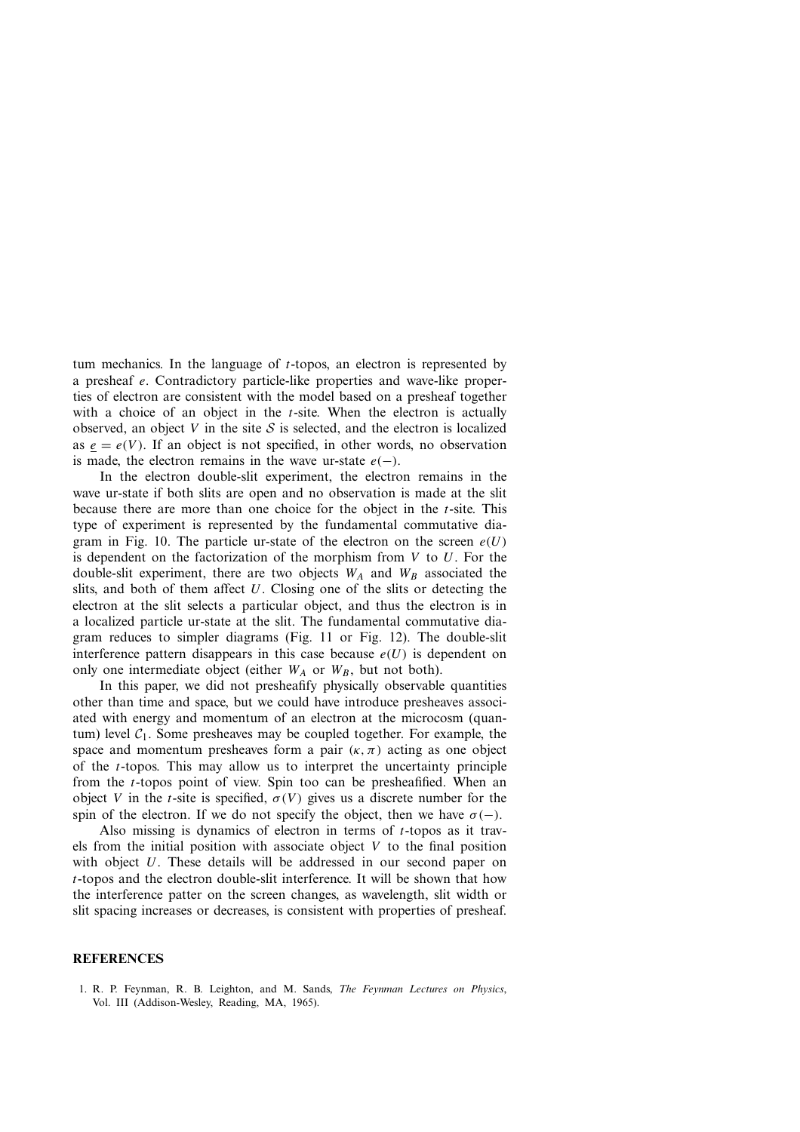tum mechanics. In the language of  $t$ -topos, an electron is represented by <sup>a</sup> presheaf e. Contradictory particle-like properties and wave-like properties of electron are consistent with the model based on a presheaf together with a choice of an object in the  $t$ -site. When the electron is actually observed, an object V in the site S is selected, and the electron is localized as  $e = e(V)$ . If an object is not specified, in other words, no observation is made, the electron remains in the wave ur-state  $e(-)$ .

In the electron double-slit experiment, the electron remains in the wave ur-state if both slits are open and no observation is made at the slit because there are more than one choice for the object in the t-site. This type of experiment is represented by the fundamental commutative diagram in Fig. 10. The particle ur-state of the electron on the screen  $e(U)$ is dependent on the factorization of the morphism from  $V$  to  $U$ . For the double-slit experiment, there are two objects  $W_A$  and  $W_B$  associated the slits, and both of them affect  $U$ . Closing one of the slits or detecting the electron at the slit selects a particular object, and thus the electron is in a localized particle ur-state at the slit. The fundamental commutative diagram reduces to simpler diagrams (Fig. 11 or Fig. 12). The double-slit interference pattern disappears in this case because  $e(U)$  is dependent on only one intermediate object (either  $W_A$  or  $W_B$ , but not both).

In this paper, we did not presheafify physically observable quantities other than time and space, but we could have introduce presheaves associated with energy and momentum of an electron at the microcosm (quantum) level  $C_1$ . Some presheaves may be coupled together. For example, the space and momentum presheaves form a pair  $(\kappa, \pi)$  acting as one object of the t-topos. This may allow us to interpret the uncertainty principle from the t-topos point of view. Spin too can be presheafified. When an object V in the t-site is specified,  $\sigma(V)$  gives us a discrete number for the spin of the electron. If we do not specify the object, then we have  $\sigma(-)$ .

Also missing is dynamics of electron in terms of  $t$ -topos as it travels from the initial position with associate object  $V$  to the final position with object  $U$ . These details will be addressed in our second paper on t-topos and the electron double-slit interference. It will be shown that how the interference patter on the screen changes, as wavelength, slit width or slit spacing increases or decreases, is consistent with properties of presheaf.

#### **REFERENCES**

1. R. P. Feynman, R. B. Leighton, and M. Sands, *The Feynman Lectures on Physics*, Vol. III (Addison-Wesley, Reading, MA, 1965).